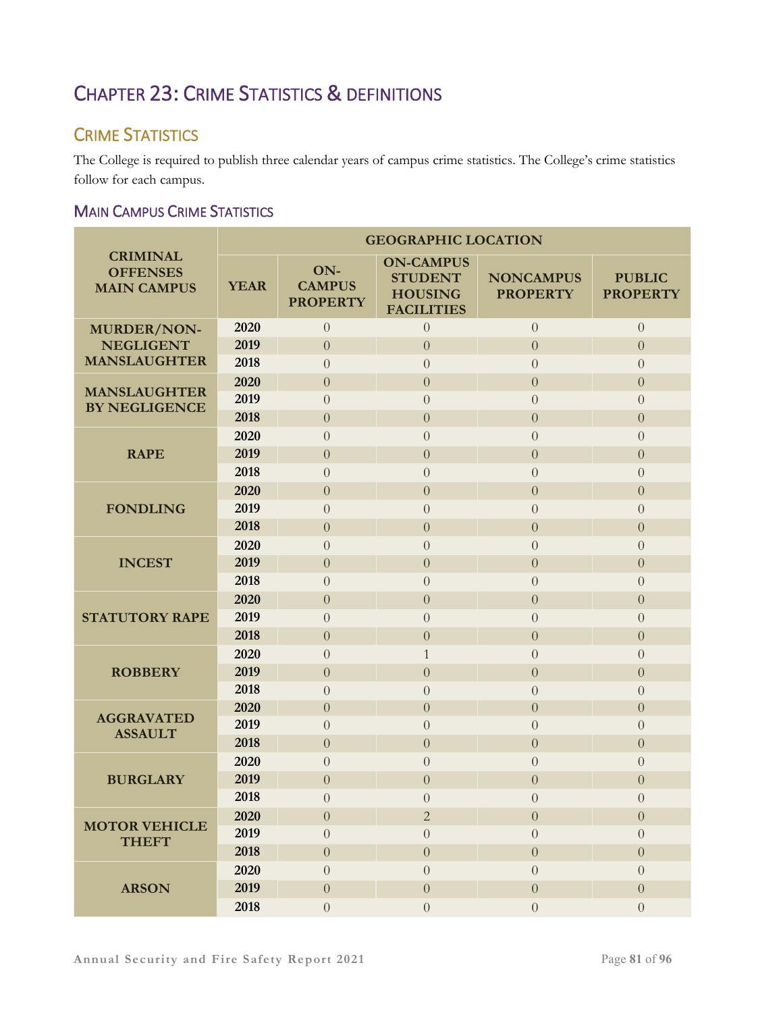# CHAPTER 23: CRIME STATISTICS & DEFINITIONS

## CRIME STATISTICS

The College is required to publish three calendar years of campus crime statistics. The College's crime statistics follow for each campus.

### MAIN CAMPUS CRIME STATISTICS

|                                                          | <b>GEOGRAPHIC LOCATION</b> |                                         |                                                                           |                                     |                                  |  |  |  |
|----------------------------------------------------------|----------------------------|-----------------------------------------|---------------------------------------------------------------------------|-------------------------------------|----------------------------------|--|--|--|
| <b>CRIMINAL</b><br><b>OFFENSES</b><br><b>MAIN CAMPUS</b> | <b>YEAR</b>                | ON-<br><b>CAMPUS</b><br><b>PROPERTY</b> | <b>ON-CAMPUS</b><br><b>STUDENT</b><br><b>HOUSING</b><br><b>FACILITIES</b> | <b>NONCAMPUS</b><br><b>PROPERTY</b> | <b>PUBLIC</b><br><b>PROPERTY</b> |  |  |  |
| <b>MURDER/NON-</b>                                       | 2020                       | $\overline{0}$                          | $\overline{0}$                                                            | $\overline{0}$                      | $\overline{0}$                   |  |  |  |
| <b>NEGLIGENT</b>                                         | 2019                       | $\overline{0}$                          | $\theta$                                                                  | $\boldsymbol{0}$                    | $\overline{0}$                   |  |  |  |
| <b>MANSLAUGHTER</b>                                      | 2018                       | $\overline{0}$                          | $\overline{0}$                                                            | $\overline{0}$                      | $\overline{0}$                   |  |  |  |
| <b>MANSLAUGHTER</b>                                      | 2020                       | $\overline{0}$                          | $\overline{0}$                                                            | $\overline{0}$                      | $\overline{0}$                   |  |  |  |
| <b>BY NEGLIGENCE</b>                                     | 2019                       | $\theta$                                | $\theta$                                                                  | $\overline{0}$                      | $\overline{0}$                   |  |  |  |
|                                                          | 2018                       | $\overline{0}$                          | $\overline{0}$                                                            | $\overline{0}$                      | $\overline{0}$                   |  |  |  |
|                                                          | 2020                       | $\overline{0}$                          | $\overline{0}$                                                            | $\overline{0}$                      | $\overline{0}$                   |  |  |  |
| <b>RAPE</b>                                              | 2019                       | $\overline{0}$                          | $\theta$                                                                  | $\overline{0}$                      | $\overline{0}$                   |  |  |  |
|                                                          | 2018                       | $\theta$                                | $\overline{0}$                                                            | $\overline{0}$                      | $\overline{0}$                   |  |  |  |
|                                                          | 2020                       | $\overline{0}$                          | $\theta$                                                                  | $\boldsymbol{0}$                    | $\boldsymbol{0}$                 |  |  |  |
| <b>FONDLING</b>                                          | 2019                       | $\overline{0}$                          | $\theta$                                                                  | $\overline{0}$                      | $\overline{0}$                   |  |  |  |
|                                                          | 2018                       | $\overline{0}$                          | $\overline{0}$                                                            | $\overline{0}$                      | $\overline{0}$                   |  |  |  |
|                                                          | 2020                       | $\overline{0}$                          | $\overline{0}$                                                            | $\overline{0}$                      | $\overline{0}$                   |  |  |  |
| <b>INCEST</b>                                            | 2019                       | $\overline{0}$                          | $\overline{0}$                                                            | $\overline{0}$                      | $\overline{0}$                   |  |  |  |
|                                                          | 2018                       | $\overline{0}$                          | $\theta$                                                                  | $\theta$                            | $\overline{0}$                   |  |  |  |
|                                                          | 2020                       | $\overline{0}$                          | $\overline{0}$                                                            | $\overline{0}$                      | $\overline{0}$                   |  |  |  |
| <b>STATUTORY RAPE</b>                                    | 2019                       | $\overline{0}$                          | $\overline{0}$                                                            | $\overline{0}$                      | $\overline{0}$                   |  |  |  |
|                                                          | 2018                       | $\overline{0}$                          | $\theta$                                                                  | $\overline{0}$                      | $\overline{0}$                   |  |  |  |
|                                                          | 2020                       | $\overline{0}$                          | $\mathbf{1}$                                                              | $\overline{0}$                      | $\left($                         |  |  |  |
| <b>ROBBERY</b>                                           | 2019                       | $\overline{0}$                          | $\overline{0}$                                                            | $\overline{0}$                      | $\overline{0}$                   |  |  |  |
|                                                          | 2018                       | $\overline{0}$                          | $\theta$                                                                  | $\theta$                            | $\overline{0}$                   |  |  |  |
| <b>AGGRAVATED</b>                                        | 2020                       | $\overline{0}$                          | $\overline{0}$                                                            | $\overline{0}$                      | $\overline{0}$                   |  |  |  |
| <b>ASSAULT</b>                                           | 2019                       | $\overline{0}$                          | $\overline{0}$                                                            | $\overline{0}$                      | $\overline{0}$                   |  |  |  |
|                                                          | 2018                       | $\overline{0}$                          | $\theta$                                                                  | $\boldsymbol{0}$                    | $\overline{0}$                   |  |  |  |
|                                                          | 2020                       | $\overline{0}$                          | $\overline{0}$                                                            | $\overline{0}$                      | $\overline{0}$                   |  |  |  |
| <b>BURGLARY</b>                                          | 2019                       | $\overline{0}$                          | $\overline{0}$                                                            | $\overline{0}$                      | $\overline{0}$                   |  |  |  |
|                                                          | 2018                       | $\overline{0}$                          | $\overline{0}$                                                            | $\Omega$                            | $\overline{0}$                   |  |  |  |
| <b>MOTOR VEHICLE</b>                                     | 2020                       | $\overline{0}$                          | $\overline{2}$                                                            | $\boldsymbol{0}$                    | $\boldsymbol{0}$                 |  |  |  |
| <b>THEFT</b>                                             | 2019                       | $\overline{0}$                          | $\Omega$                                                                  | $\overline{0}$                      | $\overline{0}$                   |  |  |  |
|                                                          | 2018                       | $\overline{0}$                          | $\overline{0}$                                                            | $\overline{0}$                      | $\overline{0}$                   |  |  |  |
|                                                          | 2020                       | $\overline{0}$                          | $\overline{0}$                                                            | $\overline{0}$                      | $\overline{0}$                   |  |  |  |
| <b>ARSON</b>                                             | 2019                       | $\overline{0}$                          | $\theta$                                                                  | $\boldsymbol{0}$                    | $\boldsymbol{0}$                 |  |  |  |
|                                                          | 2018                       | $\overline{0}$                          | $\overline{0}$                                                            | $\boldsymbol{0}$                    | $\overline{0}$                   |  |  |  |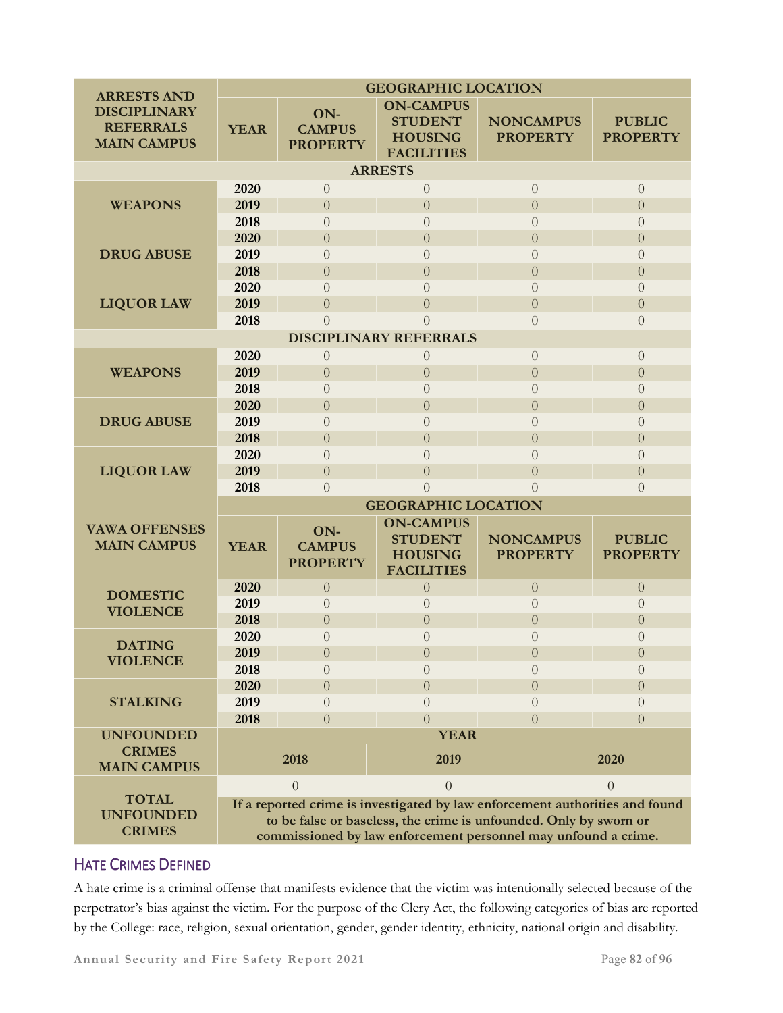| <b>ARRESTS AND</b>                                            | <b>GEOGRAPHIC LOCATION</b>                                                                                                                                                                                          |                                         |                                                                           |  |                                     |                                  |  |  |  |
|---------------------------------------------------------------|---------------------------------------------------------------------------------------------------------------------------------------------------------------------------------------------------------------------|-----------------------------------------|---------------------------------------------------------------------------|--|-------------------------------------|----------------------------------|--|--|--|
| <b>DISCIPLINARY</b><br><b>REFERRALS</b><br><b>MAIN CAMPUS</b> | <b>YEAR</b>                                                                                                                                                                                                         | ON-<br><b>CAMPUS</b><br><b>PROPERTY</b> | <b>ON-CAMPUS</b><br><b>STUDENT</b><br><b>HOUSING</b><br><b>FACILITIES</b> |  | <b>NONCAMPUS</b><br><b>PROPERTY</b> | <b>PUBLIC</b><br><b>PROPERTY</b> |  |  |  |
| <b>ARRESTS</b>                                                |                                                                                                                                                                                                                     |                                         |                                                                           |  |                                     |                                  |  |  |  |
|                                                               | 2020                                                                                                                                                                                                                | $\theta$                                | $\theta$                                                                  |  | $\theta$                            | $\overline{0}$                   |  |  |  |
| <b>WEAPONS</b>                                                | 2019                                                                                                                                                                                                                | $\overline{0}$                          | $\overline{0}$                                                            |  | $\overline{0}$                      | $\overline{0}$                   |  |  |  |
|                                                               | 2018                                                                                                                                                                                                                | $\overline{0}$                          | $\overline{0}$                                                            |  | $\overline{0}$                      | $\overline{0}$                   |  |  |  |
|                                                               | 2020                                                                                                                                                                                                                | $\theta$                                | $\overline{0}$                                                            |  | $\boldsymbol{0}$                    | $\overline{0}$                   |  |  |  |
| <b>DRUG ABUSE</b>                                             | 2019                                                                                                                                                                                                                | $\overline{0}$                          | $\theta$                                                                  |  | $\overline{0}$                      | $\overline{0}$                   |  |  |  |
|                                                               | 2018                                                                                                                                                                                                                | $\overline{0}$                          | $\overline{0}$                                                            |  | $\overline{0}$                      | $\Omega$                         |  |  |  |
|                                                               | 2020                                                                                                                                                                                                                | $\overline{0}$                          | $\Omega$                                                                  |  | $\overline{0}$                      | $\Omega$                         |  |  |  |
| <b>LIQUOR LAW</b>                                             | 2019                                                                                                                                                                                                                | $\overline{0}$                          | $\overline{0}$                                                            |  | $\overline{0}$                      | $\overline{0}$                   |  |  |  |
|                                                               | 2018                                                                                                                                                                                                                | $\overline{0}$                          | $\Omega$                                                                  |  | $\overline{0}$                      | $\Omega$                         |  |  |  |
| <b>DISCIPLINARY REFERRALS</b>                                 |                                                                                                                                                                                                                     |                                         |                                                                           |  |                                     |                                  |  |  |  |
|                                                               | 2020                                                                                                                                                                                                                | $\sqrt{0}$                              | $\theta$                                                                  |  | $\overline{0}$                      | $\overline{0}$                   |  |  |  |
| <b>WEAPONS</b>                                                | 2019                                                                                                                                                                                                                | $\overline{0}$                          | $\overline{0}$                                                            |  | $\overline{0}$                      | $\overline{0}$                   |  |  |  |
|                                                               | 2018                                                                                                                                                                                                                | $\overline{0}$                          | $\left($                                                                  |  | $\overline{0}$                      | $\overline{0}$                   |  |  |  |
|                                                               | 2020                                                                                                                                                                                                                | $\overline{0}$                          | $\overline{0}$                                                            |  | $\theta$                            | $\overline{0}$                   |  |  |  |
| <b>DRUG ABUSE</b>                                             | 2019                                                                                                                                                                                                                | $\overline{0}$                          | $\overline{0}$                                                            |  | $\overline{0}$                      | $\overline{0}$                   |  |  |  |
|                                                               | 2018                                                                                                                                                                                                                | $\overline{0}$                          | $\overline{0}$                                                            |  | $\overline{0}$                      | $\overline{0}$                   |  |  |  |
|                                                               | 2020                                                                                                                                                                                                                | $\overline{0}$                          | $\Omega$                                                                  |  | $\Omega$                            | $\Omega$                         |  |  |  |
| <b>LIQUOR LAW</b>                                             | 2019                                                                                                                                                                                                                | $\overline{0}$                          | $\overline{0}$                                                            |  | $\overline{0}$                      | $\Omega$                         |  |  |  |
|                                                               | 2018                                                                                                                                                                                                                | $\overline{0}$                          | $\theta$                                                                  |  | $\Omega$                            | $\Omega$                         |  |  |  |
|                                                               | <b>GEOGRAPHIC LOCATION</b>                                                                                                                                                                                          |                                         |                                                                           |  |                                     |                                  |  |  |  |
| <b>VAWA OFFENSES</b><br><b>MAIN CAMPUS</b>                    | <b>YEAR</b>                                                                                                                                                                                                         | ON-<br><b>CAMPUS</b><br><b>PROPERTY</b> | <b>ON-CAMPUS</b><br><b>STUDENT</b><br><b>HOUSING</b><br><b>FACILITIES</b> |  | <b>NONCAMPUS</b><br><b>PROPERTY</b> | <b>PUBLIC</b><br><b>PROPERTY</b> |  |  |  |
| <b>DOMESTIC</b>                                               | 2020                                                                                                                                                                                                                | $\theta$                                | $\theta$                                                                  |  | $\overline{0}$                      | $\theta$                         |  |  |  |
| <b>VIOLENCE</b>                                               | 2019                                                                                                                                                                                                                | $\overline{0}$                          | $\overline{0}$                                                            |  | $\overline{0}$                      | $\overline{0}$                   |  |  |  |
|                                                               | 2018                                                                                                                                                                                                                | $\overline{0}$                          | $\overline{0}$                                                            |  | $\overline{0}$                      | $\overline{0}$                   |  |  |  |
| <b>DATING</b>                                                 | 2020                                                                                                                                                                                                                | $\boldsymbol{0}$                        | 0                                                                         |  | $\theta$                            | $\theta$                         |  |  |  |
| <b>VIOLENCE</b>                                               | 2019                                                                                                                                                                                                                | $\overline{0}$                          | $\overline{0}$                                                            |  | $\boldsymbol{0}$                    | $\boldsymbol{0}$                 |  |  |  |
|                                                               | 2018                                                                                                                                                                                                                | $\theta$                                | $\Omega$                                                                  |  | $\Omega$                            | $\Omega$                         |  |  |  |
|                                                               | 2020                                                                                                                                                                                                                | $\overline{0}$                          | $\Omega$                                                                  |  | $\theta$                            | $\overline{0}$                   |  |  |  |
| <b>STALKING</b>                                               | 2019                                                                                                                                                                                                                | $\theta$                                | $\Omega$                                                                  |  | $\Omega$                            | $\Omega$                         |  |  |  |
|                                                               | 2018                                                                                                                                                                                                                | $\overline{0}$                          | $\Omega$                                                                  |  | $\Omega$                            | $\Omega$                         |  |  |  |
| <b>UNFOUNDED</b><br><b>CRIMES</b><br><b>MAIN CAMPUS</b>       |                                                                                                                                                                                                                     | 2018                                    | <b>YEAR</b><br>2019                                                       |  | 2020                                |                                  |  |  |  |
|                                                               |                                                                                                                                                                                                                     | $\Omega$                                | $\Omega$                                                                  |  |                                     | $\Omega$                         |  |  |  |
| <b>TOTAL</b><br><b>UNFOUNDED</b><br><b>CRIMES</b>             | If a reported crime is investigated by law enforcement authorities and found<br>to be false or baseless, the crime is unfounded. Only by sworn or<br>commissioned by law enforcement personnel may unfound a crime. |                                         |                                                                           |  |                                     |                                  |  |  |  |

### HATE CRIMES DEFINED

A hate crime is a criminal offense that manifests evidence that the victim was intentionally selected because of the perpetrator's bias against the victim. For the purpose of the Clery Act, the following categories of bias are reported by the College: race, religion, sexual orientation, gender, gender identity, ethnicity, national origin and disability.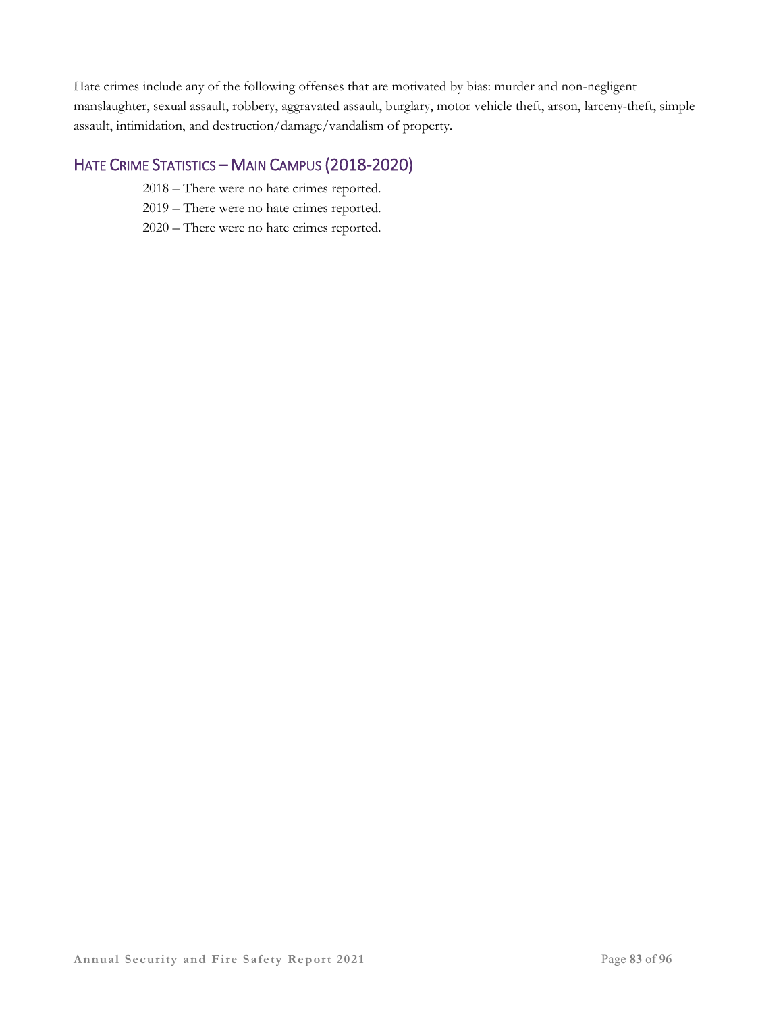Hate crimes include any of the following offenses that are motivated by bias: murder and non-negligent manslaughter, sexual assault, robbery, aggravated assault, burglary, motor vehicle theft, arson, larceny-theft, simple assault, intimidation, and destruction/damage/vandalism of property.

### HATE CRIME STATISTICS – MAIN CAMPUS (2018-2020)

- 2018 There were no hate crimes reported.
- 2019 There were no hate crimes reported.
- 2020 There were no hate crimes reported.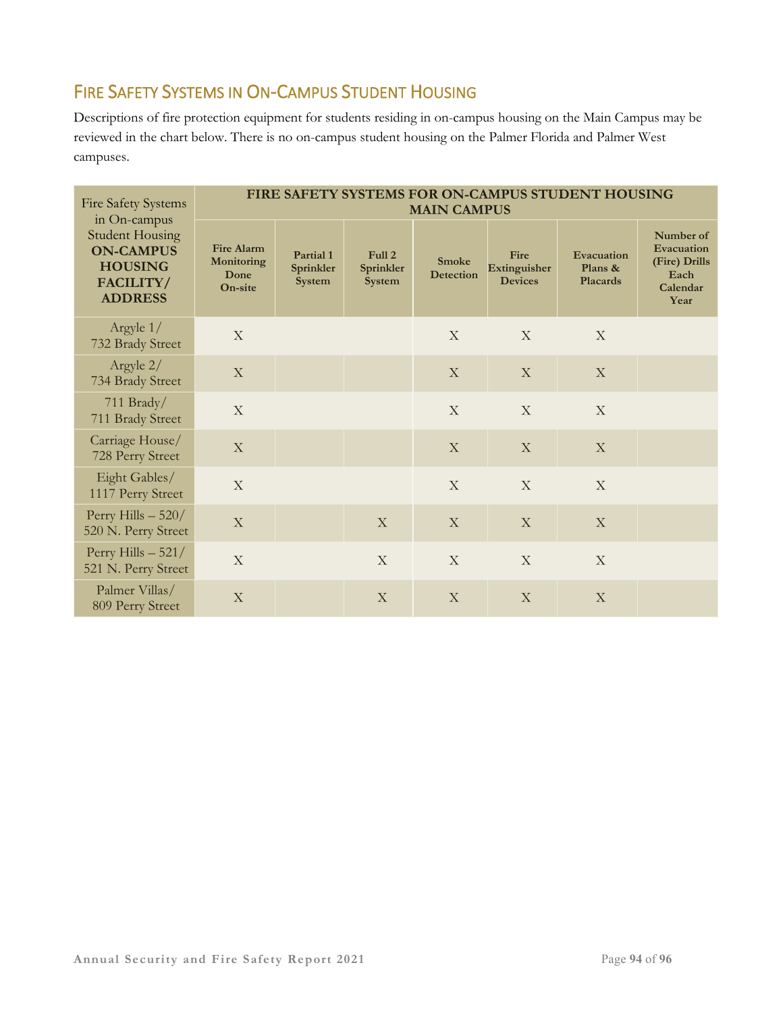# FIRE SAFETY SYSTEMS IN ON-CAMPUS STUDENT HOUSING

Descriptions of fire protection equipment for students residing in on-campus housing on the Main Campus may be reviewed in the chart below. There is no on-campus student housing on the Palmer Florida and Palmer West campuses.

| <b>Fire Safety Systems</b><br>in On-campus                                                  | FIRE SAFETY SYSTEMS FOR ON-CAMPUS STUDENT HOUSING<br><b>MAIN CAMPUS</b> |                                  |                                      |                                  |                                        |                                          |                                                                      |  |  |
|---------------------------------------------------------------------------------------------|-------------------------------------------------------------------------|----------------------------------|--------------------------------------|----------------------------------|----------------------------------------|------------------------------------------|----------------------------------------------------------------------|--|--|
| <b>Student Housing</b><br><b>ON-CAMPUS</b><br><b>HOUSING</b><br>FACILITY/<br><b>ADDRESS</b> | <b>Fire Alarm</b><br>Monitoring<br>Done<br>On-site                      | Partial 1<br>Sprinkler<br>System | Full 2<br>Sprinkler<br><b>System</b> | <b>Smoke</b><br><b>Detection</b> | Fire<br>Extinguisher<br><b>Devices</b> | Evacuation<br>Plans &<br><b>Placards</b> | Number of<br>Evacuation<br>(Fire) Drills<br>Each<br>Calendar<br>Year |  |  |
| Argyle 1/<br>732 Brady Street                                                               | X                                                                       |                                  |                                      | X                                | X                                      | $\mathbf{X}$                             |                                                                      |  |  |
| Argyle 2/<br>734 Brady Street                                                               | $\mathbf X$                                                             |                                  |                                      | $\mathbf X$                      | $\mathbf X$                            | X                                        |                                                                      |  |  |
| 711 Brady/<br>711 Brady Street                                                              | X                                                                       |                                  |                                      | X                                | X                                      | $\mathbf X$                              |                                                                      |  |  |
| Carriage House/<br>728 Perry Street                                                         | X                                                                       |                                  |                                      | X                                | $\mathbf X$                            | X                                        |                                                                      |  |  |
| Eight Gables/<br>1117 Perry Street                                                          | $\mathbf X$                                                             |                                  |                                      | $\mathbf X$                      | $\mathbf X$                            | X                                        |                                                                      |  |  |
| Perry Hills $-520/$<br>520 N. Perry Street                                                  | X                                                                       |                                  | X                                    | $\mathbf X$                      | $\mathbf X$                            | X                                        |                                                                      |  |  |
| Perry Hills $-521/$<br>521 N. Perry Street                                                  | $\mathbf X$                                                             |                                  | X                                    | X                                | X                                      | X                                        |                                                                      |  |  |
| Palmer Villas/<br>809 Perry Street                                                          | X                                                                       |                                  | X                                    | $\mathbf X$                      | X                                      | X                                        |                                                                      |  |  |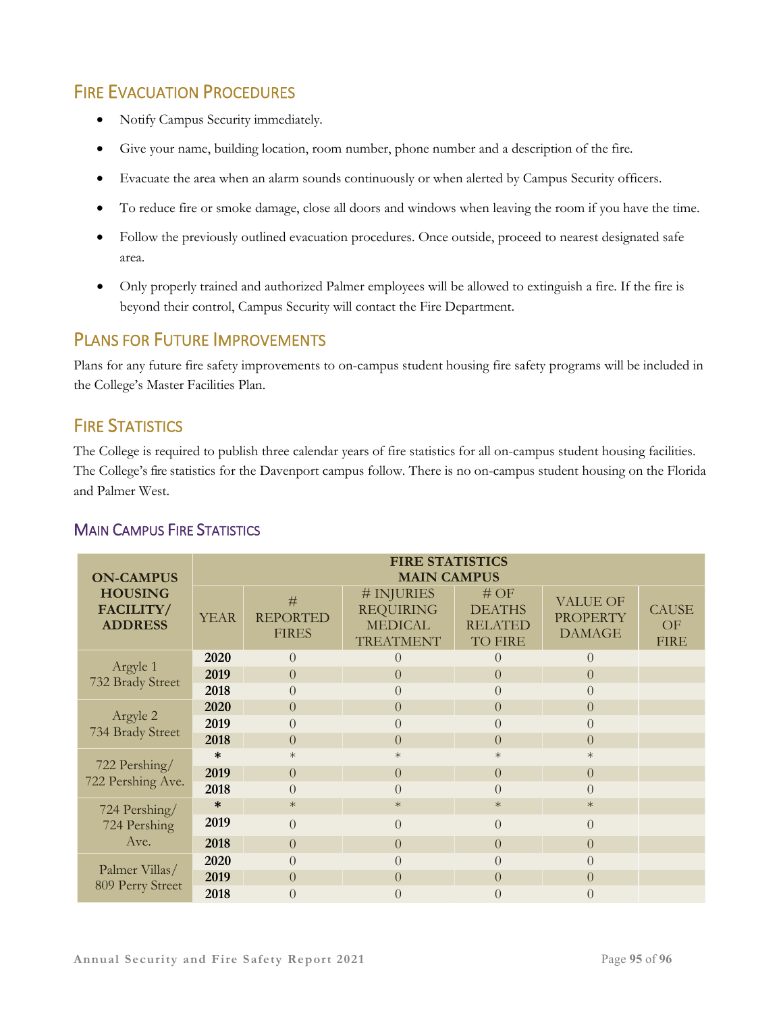# FIRE EVACUATION PROCEDURES

- Notify Campus Security immediately.
- Give your name, building location, room number, phone number and a description of the fire.
- Evacuate the area when an alarm sounds continuously or when alerted by Campus Security officers.
- To reduce fire or smoke damage, close all doors and windows when leaving the room if you have the time.
- Follow the previously outlined evacuation procedures. Once outside, proceed to nearest designated safe area.
- Only properly trained and authorized Palmer employees will be allowed to extinguish a fire. If the fire is beyond their control, Campus Security will contact the Fire Department.

### PLANS FOR FUTURE IMPROVEMENTS

Plans for any future fire safety improvements to on-campus student housing fire safety programs will be included in the College's Master Facilities Plan.

# **FIRE STATISTICS**

The College is required to publish three calendar years of fire statistics for all on-campus student housing facilities. The College's fire statistics for the Davenport campus follow. There is no on-campus student housing on the Florida and Palmer West.

### MAIN CAMPUS FIRE STATISTICS

| <b>ON-CAMPUS</b><br><b>HOUSING</b><br>FACILITY/<br><b>ADDRESS</b> | <b>FIRE STATISTICS</b><br><b>MAIN CAMPUS</b> |                                      |                                                                      |                                                          |                                                     |                                   |  |  |  |
|-------------------------------------------------------------------|----------------------------------------------|--------------------------------------|----------------------------------------------------------------------|----------------------------------------------------------|-----------------------------------------------------|-----------------------------------|--|--|--|
|                                                                   | <b>YEAR</b>                                  | #<br><b>REPORTED</b><br><b>FIRES</b> | # INJURIES<br><b>REQUIRING</b><br><b>MEDICAL</b><br><b>TREATMENT</b> | #OF<br><b>DEATHS</b><br><b>RELATED</b><br><b>TO FIRE</b> | <b>VALUE OF</b><br><b>PROPERTY</b><br><b>DAMAGE</b> | <b>CAUSE</b><br>OF<br><b>FIRE</b> |  |  |  |
| Argyle 1                                                          | 2020                                         | $\Omega$                             | $\Omega$                                                             | $\theta$                                                 | $\Omega$                                            |                                   |  |  |  |
| 732 Brady Street                                                  | 2019                                         | $\theta$                             | $\theta$                                                             | $\Omega$                                                 | $\Omega$                                            |                                   |  |  |  |
|                                                                   | 2018                                         | $\Omega$                             |                                                                      | $\Omega$                                                 |                                                     |                                   |  |  |  |
|                                                                   | 2020                                         | $\Omega$                             | $\Omega$                                                             | $\Omega$                                                 | $\Omega$                                            |                                   |  |  |  |
| Argyle 2                                                          | 2019                                         | $\Omega$                             | $\Omega$                                                             | $\theta$                                                 |                                                     |                                   |  |  |  |
| 734 Brady Street                                                  | 2018                                         | $\Omega$                             | $\theta$                                                             | $\Omega$                                                 | $\Omega$                                            |                                   |  |  |  |
| 722 Pershing/<br>722 Pershing Ave.                                | $\ast$                                       | $\ast$                               | $\ast$                                                               | $\ast$                                                   | $\ast$                                              |                                   |  |  |  |
|                                                                   | 2019                                         | $\Omega$                             | $\Omega$                                                             | $\Omega$                                                 | $\Omega$                                            |                                   |  |  |  |
|                                                                   | 2018                                         | $\Omega$                             | $\Omega$                                                             | $\Omega$                                                 |                                                     |                                   |  |  |  |
| 724 Pershing/<br>724 Pershing                                     | $\ast$                                       | $\ast$                               | $\ast$                                                               | $\ast$                                                   | $\ast$                                              |                                   |  |  |  |
|                                                                   | 2019                                         | $\Omega$                             | $\Omega$                                                             | $\theta$                                                 | $\Omega$                                            |                                   |  |  |  |
| Ave.                                                              | 2018                                         | $\theta$                             | $\Omega$                                                             | $\overline{0}$                                           | $\Omega$                                            |                                   |  |  |  |
| Palmer Villas/<br>809 Perry Street                                | 2020                                         | $\Omega$                             | $\Omega$                                                             | $\Omega$                                                 |                                                     |                                   |  |  |  |
|                                                                   | 2019                                         | $\Omega$                             | $\Omega$                                                             | $\Omega$                                                 | $\left( \right)$                                    |                                   |  |  |  |
|                                                                   | 2018                                         | $\theta$                             | $\left( \right)$                                                     | $\left( \right)$                                         | $\left( \right)$                                    |                                   |  |  |  |